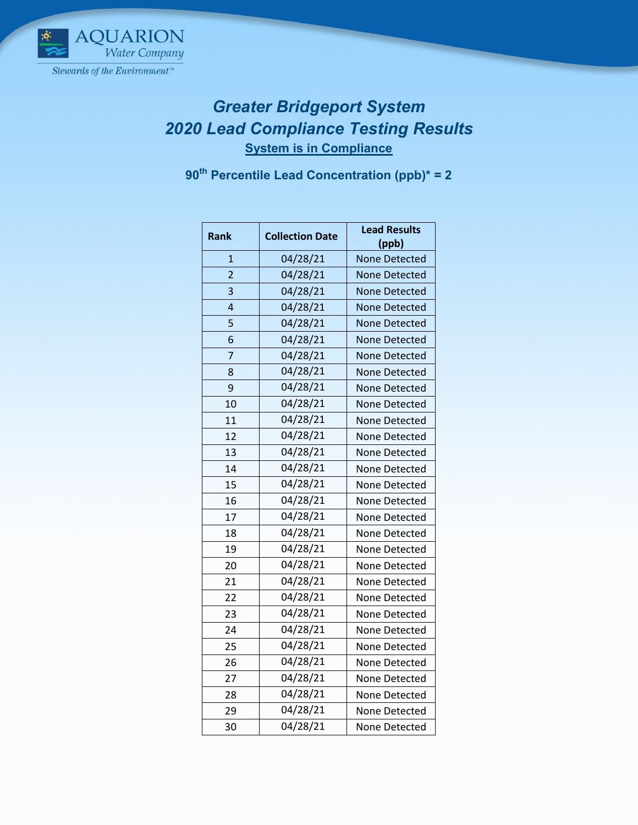

## *Greater Bridgeport System Lead Compliance Testing Results* **System is in Compliance**

**th Percentile Lead Concentration (ppb)\* = 2**

| <b>Rank</b>    | <b>Collection Date</b> | <b>Lead Results</b>  |
|----------------|------------------------|----------------------|
|                |                        | (ppb)                |
| $\mathbf{1}$   | 04/28/21               | <b>None Detected</b> |
| $\overline{2}$ | 04/28/21               | <b>None Detected</b> |
| 3              | 04/28/21               | <b>None Detected</b> |
| $\overline{a}$ | 04/28/21               | <b>None Detected</b> |
| 5              | 04/28/21               | <b>None Detected</b> |
| 6              | 04/28/21               | None Detected        |
| 7              | 04/28/21               | None Detected        |
| 8              | 04/28/21               | None Detected        |
| 9              | 04/28/21               | None Detected        |
| 10             | 04/28/21               | None Detected        |
| 11             | 04/28/21               | <b>None Detected</b> |
| 12             | 04/28/21               | None Detected        |
| 13             | 04/28/21               | <b>None Detected</b> |
| 14             | 04/28/21               | None Detected        |
| 15             | 04/28/21               | None Detected        |
| 16             | 04/28/21               | None Detected        |
| 17             | 04/28/21               | None Detected        |
| 18             | 04/28/21               | None Detected        |
| 19             | 04/28/21               | None Detected        |
| 20             | 04/28/21               | None Detected        |
| 21             | 04/28/21               | None Detected        |
| 22             | 04/28/21               | None Detected        |
| 23             | 04/28/21               | None Detected        |
| 24             | 04/28/21               | None Detected        |
| 25             | 04/28/21               | None Detected        |
| 26             | 04/28/21               | None Detected        |
| 27             | 04/28/21               | None Detected        |
| 28             | 04/28/21               | None Detected        |
| 29             | 04/28/21               | None Detected        |
| 30             | 04/28/21               | None Detected        |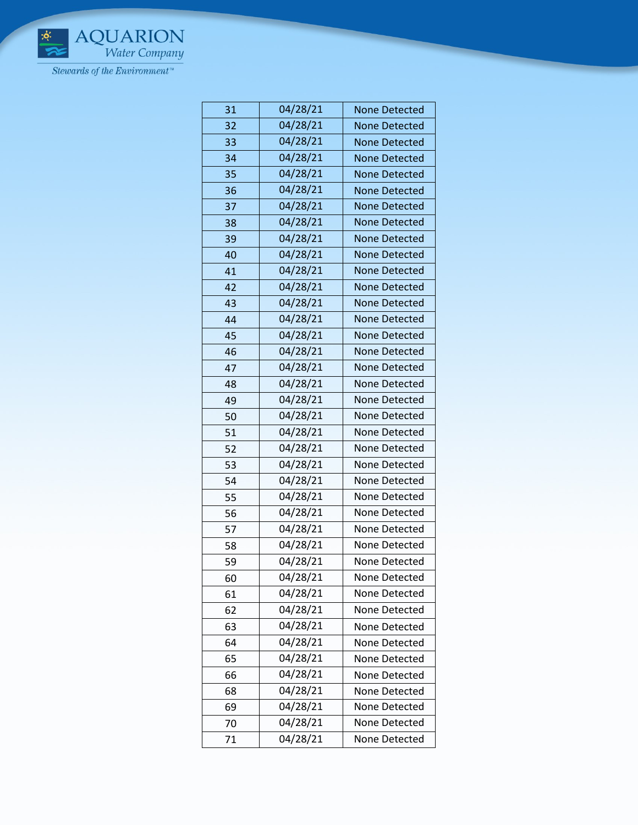

| 31 | 04/28/21 | <b>None Detected</b> |
|----|----------|----------------------|
| 32 | 04/28/21 | <b>None Detected</b> |
| 33 | 04/28/21 | <b>None Detected</b> |
| 34 | 04/28/21 | <b>None Detected</b> |
| 35 | 04/28/21 | <b>None Detected</b> |
| 36 | 04/28/21 | <b>None Detected</b> |
| 37 | 04/28/21 | <b>None Detected</b> |
| 38 | 04/28/21 | <b>None Detected</b> |
| 39 | 04/28/21 | <b>None Detected</b> |
| 40 | 04/28/21 | <b>None Detected</b> |
| 41 | 04/28/21 | <b>None Detected</b> |
| 42 | 04/28/21 | <b>None Detected</b> |
| 43 | 04/28/21 | None Detected        |
| 44 | 04/28/21 | <b>None Detected</b> |
| 45 | 04/28/21 | <b>None Detected</b> |
| 46 | 04/28/21 | None Detected        |
| 47 | 04/28/21 | <b>None Detected</b> |
| 48 | 04/28/21 | <b>None Detected</b> |
| 49 | 04/28/21 | None Detected        |
| 50 | 04/28/21 | <b>None Detected</b> |
| 51 | 04/28/21 | None Detected        |
| 52 | 04/28/21 | None Detected        |
| 53 | 04/28/21 | None Detected        |
| 54 | 04/28/21 | None Detected        |
| 55 | 04/28/21 | None Detected        |
| 56 | 04/28/21 | None Detected        |
| 57 | 04/28/21 | <b>None Detected</b> |
| 58 | 04/28/21 | None Detected        |
| 59 | 04/28/21 | None Detected        |
| 60 | 04/28/21 | None Detected        |
| 61 | 04/28/21 | None Detected        |
| 62 | 04/28/21 | None Detected        |
| 63 | 04/28/21 | None Detected        |
| 64 | 04/28/21 | None Detected        |
| 65 | 04/28/21 | None Detected        |
| 66 | 04/28/21 | None Detected        |
| 68 | 04/28/21 | None Detected        |
| 69 | 04/28/21 | None Detected        |
| 70 | 04/28/21 | None Detected        |
| 71 | 04/28/21 | None Detected        |